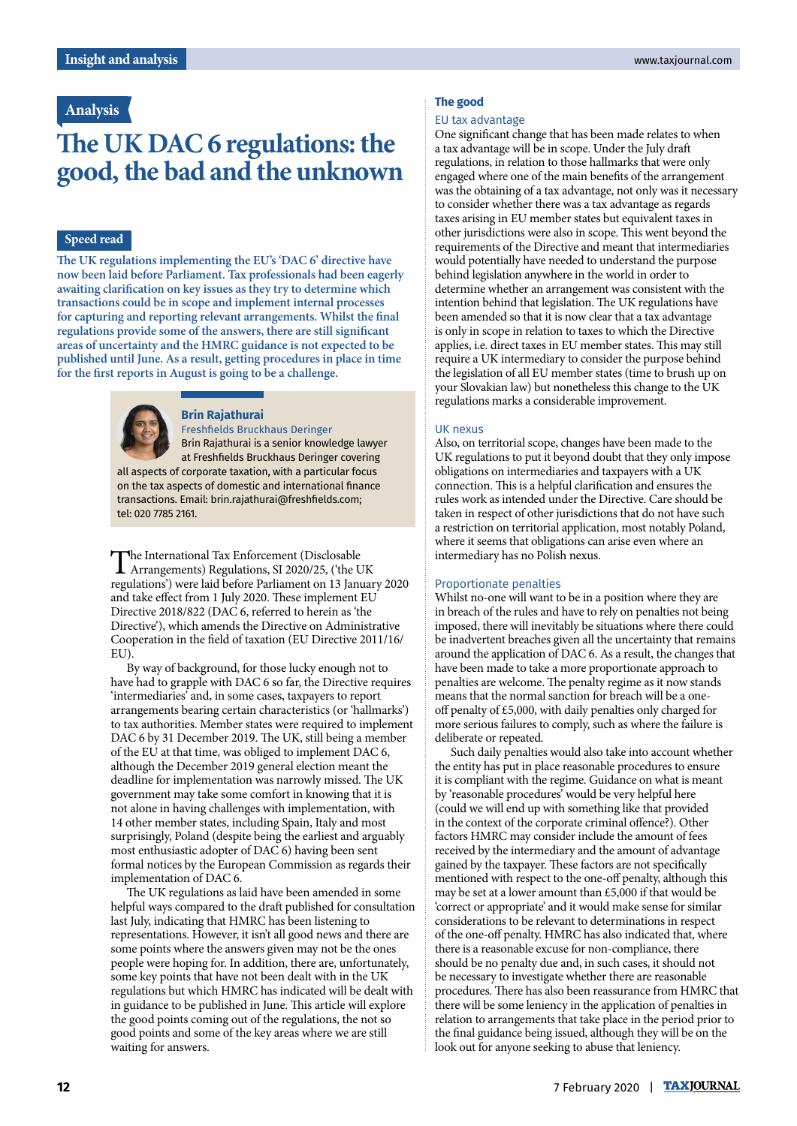## **Analysis**

# **The UK DAC 6 regulations: the good, the bad and the unknown**

## **Speed read**

**The UK regulations implementing the EU's 'DAC 6' directive have now been laid before Parliament. Tax professionals had been eagerly awaiting clarification on key issues as they try to determine which transactions could be in scope and implement internal processes for capturing and reporting relevant arrangements. Whilst the final regulations provide some of the answers, there are still significant areas of uncertainty and the HMRC guidance is not expected to be published until June. As a result, getting procedures in place in time for the first reports in August is going to be a challenge.**



## **Brin Rajathurai**

Freshfields Bruckhaus Deringer Brin Rajathurai is a senior knowledge lawyer at Freshfields Bruckhaus Deringer covering all aspects of corporate taxation, with a particular focus on the tax aspects of domestic and international finance transactions. Email: brin.rajathurai@freshfields.com; tel: 020 7785 2161.

The International Tax Enforcement (Disclosable Arrangements) Regulations, SI 2020/25, ('the UK regulations') were laid before Parliament on 13 January 2020 and take effect from 1 July 2020. These implement EU Directive 2018/822 (DAC 6, referred to herein as 'the Directive'), which amends the Directive on Administrative Cooperation in the field of taxation (EU Directive 2011/16/ EU)

By way of background, for those lucky enough not to have had to grapple with DAC 6 so far, the Directive requires 'intermediaries' and, in some cases, taxpayers to report arrangements bearing certain characteristics (or 'hallmarks') to tax authorities. Member states were required to implement DAC 6 by 31 December 2019. The UK, still being a member of the EU at that time, was obliged to implement DAC 6, although the December 2019 general election meant the deadline for implementation was narrowly missed. The UK government may take some comfort in knowing that it is not alone in having challenges with implementation, with 14 other member states, including Spain, Italy and most surprisingly, Poland (despite being the earliest and arguably most enthusiastic adopter of DAC 6) having been sent formal notices by the European Commission as regards their implementation of DAC 6.

The UK regulations as laid have been amended in some helpful ways compared to the draft published for consultation last July, indicating that HMRC has been listening to representations. However, it isn't all good news and there are some points where the answers given may not be the ones people were hoping for. In addition, there are, unfortunately, some key points that have not been dealt with in the UK regulations but which HMRC has indicated will be dealt with in guidance to be published in June. This article will explore the good points coming out of the regulations, the not so good points and some of the key areas where we are still waiting for answers.

#### **The good**

#### EU tax advantage

One significant change that has been made relates to when a tax advantage will be in scope. Under the July draft regulations, in relation to those hallmarks that were only engaged where one of the main benefits of the arrangement was the obtaining of a tax advantage, not only was it necessary to consider whether there was a tax advantage as regards taxes arising in EU member states but equivalent taxes in other jurisdictions were also in scope. This went beyond the requirements of the Directive and meant that intermediaries would potentially have needed to understand the purpose behind legislation anywhere in the world in order to determine whether an arrangement was consistent with the intention behind that legislation. The UK regulations have been amended so that it is now clear that a tax advantage is only in scope in relation to taxes to which the Directive applies, i.e. direct taxes in EU member states. This may still require a UK intermediary to consider the purpose behind the legislation of all EU member states (time to brush up on your Slovakian law) but nonetheless this change to the UK regulations marks a considerable improvement.

#### UK nexus

Also, on territorial scope, changes have been made to the UK regulations to put it beyond doubt that they only impose obligations on intermediaries and taxpayers with a UK connection. This is a helpful clarification and ensures the rules work as intended under the Directive. Care should be taken in respect of other jurisdictions that do not have such a restriction on territorial application, most notably Poland, where it seems that obligations can arise even where an intermediary has no Polish nexus.

### Proportionate penalties

Whilst no-one will want to be in a position where they are in breach of the rules and have to rely on penalties not being imposed, there will inevitably be situations where there could be inadvertent breaches given all the uncertainty that remains around the application of DAC 6. As a result, the changes that have been made to take a more proportionate approach to penalties are welcome. The penalty regime as it now stands means that the normal sanction for breach will be a oneoff penalty of £5,000, with daily penalties only charged for more serious failures to comply, such as where the failure is deliberate or repeated.

Such daily penalties would also take into account whether the entity has put in place reasonable procedures to ensure it is compliant with the regime. Guidance on what is meant by 'reasonable procedures' would be very helpful here (could we will end up with something like that provided in the context of the corporate criminal offence?). Other factors HMRC may consider include the amount of fees received by the intermediary and the amount of advantage gained by the taxpayer. These factors are not specifically mentioned with respect to the one-off penalty, although this may be set at a lower amount than £5,000 if that would be 'correct or appropriate' and it would make sense for similar considerations to be relevant to determinations in respect of the one-off penalty. HMRC has also indicated that, where there is a reasonable excuse for non-compliance, there should be no penalty due and, in such cases, it should not be necessary to investigate whether there are reasonable procedures. There has also been reassurance from HMRC that there will be some leniency in the application of penalties in relation to arrangements that take place in the period prior to the final guidance being issued, although they will be on the look out for anyone seeking to abuse that leniency.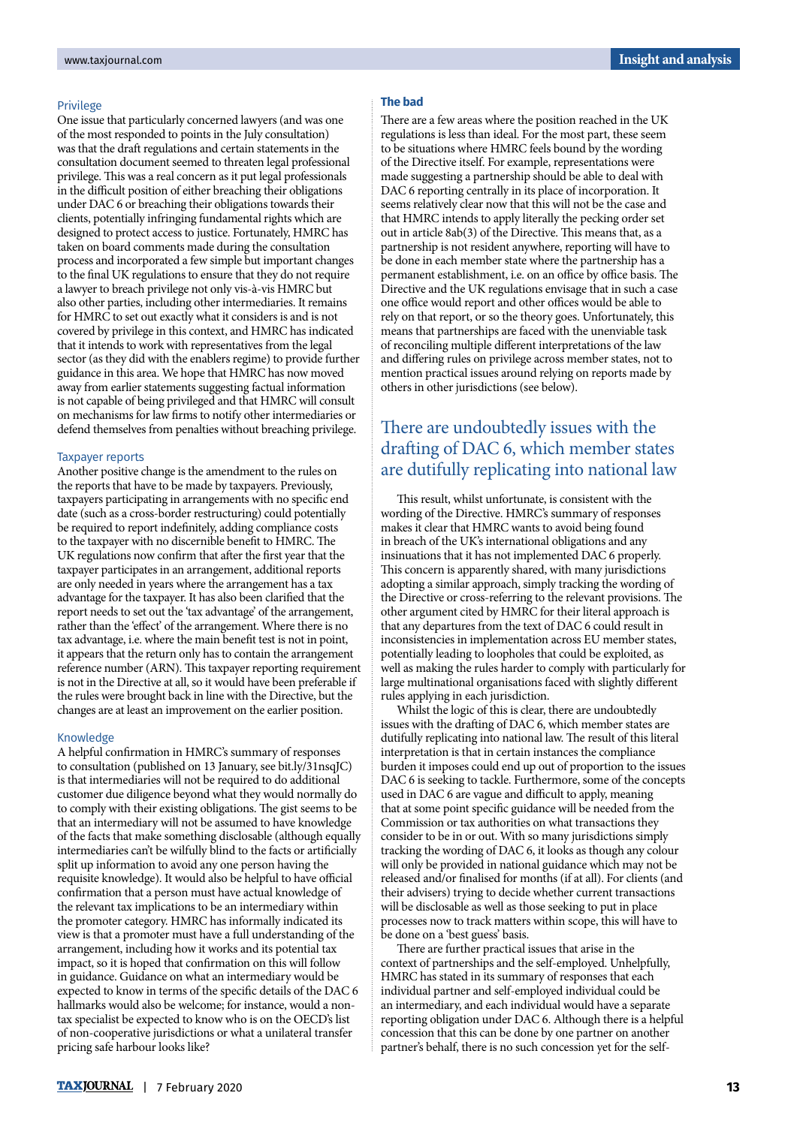#### Privilege

One issue that particularly concerned lawyers (and was one of the most responded to points in the July consultation) was that the draft regulations and certain statements in the consultation document seemed to threaten legal professional privilege. This was a real concern as it put legal professionals in the difficult position of either breaching their obligations under DAC 6 or breaching their obligations towards their clients, potentially infringing fundamental rights which are designed to protect access to justice. Fortunately, HMRC has taken on board comments made during the consultation process and incorporated a few simple but important changes to the final UK regulations to ensure that they do not require a lawyer to breach privilege not only vis-à-vis HMRC but also other parties, including other intermediaries. It remains for HMRC to set out exactly what it considers is and is not covered by privilege in this context, and HMRC has indicated that it intends to work with representatives from the legal sector (as they did with the enablers regime) to provide further guidance in this area. We hope that HMRC has now moved away from earlier statements suggesting factual information is not capable of being privileged and that HMRC will consult on mechanisms for law firms to notify other intermediaries or defend themselves from penalties without breaching privilege.

#### Taxpayer reports

Another positive change is the amendment to the rules on the reports that have to be made by taxpayers. Previously, taxpayers participating in arrangements with no specific end date (such as a cross-border restructuring) could potentially be required to report indefinitely, adding compliance costs to the taxpayer with no discernible benefit to HMRC. The UK regulations now confirm that after the first year that the taxpayer participates in an arrangement, additional reports are only needed in years where the arrangement has a tax advantage for the taxpayer. It has also been clarified that the report needs to set out the 'tax advantage' of the arrangement, rather than the 'effect' of the arrangement. Where there is no tax advantage, i.e. where the main benefit test is not in point, it appears that the return only has to contain the arrangement reference number (ARN). This taxpayer reporting requirement is not in the Directive at all, so it would have been preferable if the rules were brought back in line with the Directive, but the changes are at least an improvement on the earlier position.

#### Knowledge

A helpful confirmation in HMRC's summary of responses to consultation (published on 13 January, see bit.ly/31nsqJC) is that intermediaries will not be required to do additional customer due diligence beyond what they would normally do to comply with their existing obligations. The gist seems to be that an intermediary will not be assumed to have knowledge of the facts that make something disclosable (although equally intermediaries can't be wilfully blind to the facts or artificially split up information to avoid any one person having the requisite knowledge). It would also be helpful to have official confirmation that a person must have actual knowledge of the relevant tax implications to be an intermediary within the promoter category. HMRC has informally indicated its view is that a promoter must have a full understanding of the arrangement, including how it works and its potential tax impact, so it is hoped that confirmation on this will follow in guidance. Guidance on what an intermediary would be expected to know in terms of the specific details of the DAC 6 hallmarks would also be welcome; for instance, would a nontax specialist be expected to know who is on the OECD's list of non-cooperative jurisdictions or what a unilateral transfer pricing safe harbour looks like?

## **The bad**

There are a few areas where the position reached in the UK regulations is less than ideal. For the most part, these seem to be situations where HMRC feels bound by the wording of the Directive itself. For example, representations were made suggesting a partnership should be able to deal with DAC 6 reporting centrally in its place of incorporation. It seems relatively clear now that this will not be the case and that HMRC intends to apply literally the pecking order set out in article 8ab(3) of the Directive. This means that, as a partnership is not resident anywhere, reporting will have to be done in each member state where the partnership has a permanent establishment, i.e. on an office by office basis. The Directive and the UK regulations envisage that in such a case one office would report and other offices would be able to rely on that report, or so the theory goes. Unfortunately, this means that partnerships are faced with the unenviable task of reconciling multiple different interpretations of the law and differing rules on privilege across member states, not to mention practical issues around relying on reports made by others in other jurisdictions (see below).

## There are undoubtedly issues with the drafting of DAC 6, which member states are dutifully replicating into national law

This result, whilst unfortunate, is consistent with the wording of the Directive. HMRC's summary of responses makes it clear that HMRC wants to avoid being found in breach of the UK's international obligations and any insinuations that it has not implemented DAC 6 properly. This concern is apparently shared, with many jurisdictions adopting a similar approach, simply tracking the wording of the Directive or cross-referring to the relevant provisions. The other argument cited by HMRC for their literal approach is that any departures from the text of DAC 6 could result in inconsistencies in implementation across EU member states, potentially leading to loopholes that could be exploited, as well as making the rules harder to comply with particularly for large multinational organisations faced with slightly different rules applying in each jurisdiction.

Whilst the logic of this is clear, there are undoubtedly issues with the drafting of DAC 6, which member states are dutifully replicating into national law. The result of this literal interpretation is that in certain instances the compliance burden it imposes could end up out of proportion to the issues DAC 6 is seeking to tackle. Furthermore, some of the concepts used in DAC 6 are vague and difficult to apply, meaning that at some point specific guidance will be needed from the Commission or tax authorities on what transactions they consider to be in or out. With so many jurisdictions simply tracking the wording of DAC 6, it looks as though any colour will only be provided in national guidance which may not be released and/or finalised for months (if at all). For clients (and their advisers) trying to decide whether current transactions will be disclosable as well as those seeking to put in place processes now to track matters within scope, this will have to be done on a 'best guess' basis.

There are further practical issues that arise in the context of partnerships and the self-employed. Unhelpfully, HMRC has stated in its summary of responses that each individual partner and self-employed individual could be an intermediary, and each individual would have a separate reporting obligation under DAC 6. Although there is a helpful concession that this can be done by one partner on another partner's behalf, there is no such concession yet for the self